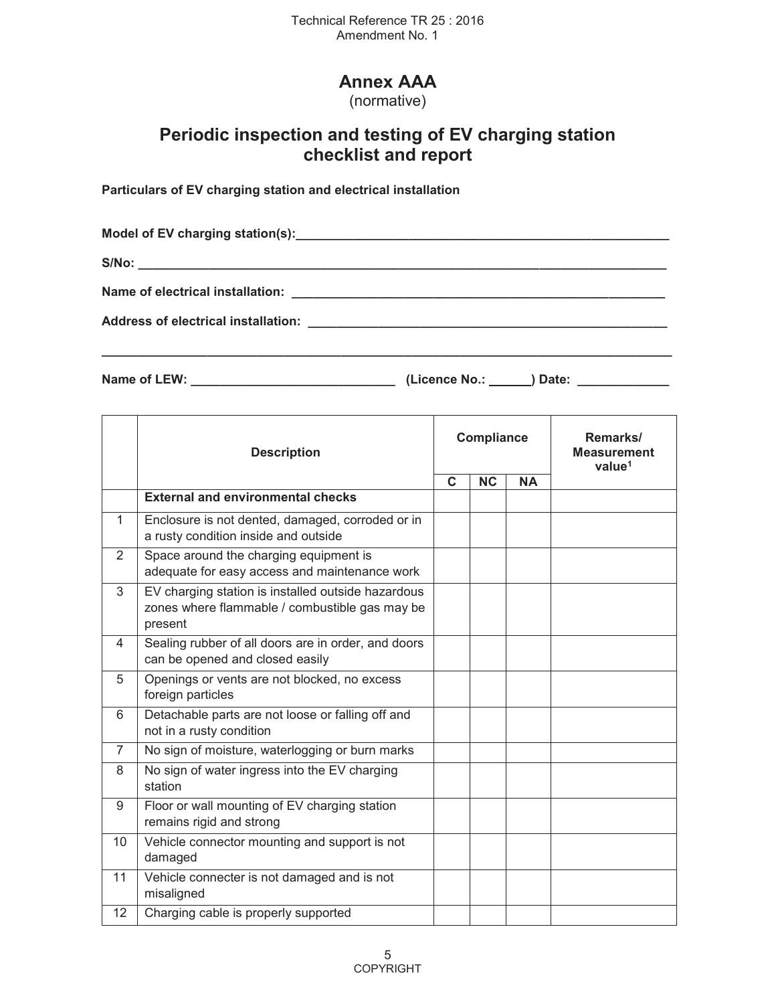# **Annex AAA**

(normative)

## **Periodic inspection and testing of EV charging station checklist and report**

**Particulars of EV charging station and electrical installation** 

Model of EV charging station(s): **with a station of EV charging station** (s):  $S/No:$ **Name of electrical installation: \_\_\_\_\_\_\_\_\_\_\_\_\_\_\_\_\_\_\_\_\_\_\_\_\_\_\_\_\_\_\_\_\_\_\_\_\_\_\_\_\_\_\_\_\_\_\_\_\_\_\_\_\_ Address of electrical installation: \_\_\_\_\_\_\_\_\_\_\_\_\_\_\_\_\_\_\_\_\_\_\_\_\_\_\_\_\_\_\_\_\_\_\_\_\_\_\_\_\_\_\_\_\_\_\_\_\_\_\_** 

**\_\_\_\_\_\_\_\_\_\_\_\_\_\_\_\_\_\_\_\_\_\_\_\_\_\_\_\_\_\_\_\_\_\_\_\_\_\_\_\_\_\_\_\_\_\_\_\_\_\_\_\_\_\_\_\_\_\_\_\_\_\_\_\_\_\_\_\_\_\_\_\_\_\_\_\_\_\_\_\_\_** 

**Name of LEW: \_\_\_\_\_\_\_\_\_\_\_\_\_\_\_\_\_\_\_\_\_\_\_\_\_\_\_\_\_ (Licence No.: ) Date: \_\_\_\_\_\_\_\_\_\_\_\_\_** 

|                | <b>Description</b>                                                                                              |              | Compliance |           | Remarks/<br><b>Measurement</b><br>value <sup>1</sup> |
|----------------|-----------------------------------------------------------------------------------------------------------------|--------------|------------|-----------|------------------------------------------------------|
|                |                                                                                                                 | $\mathbf{C}$ | <b>NC</b>  | <b>NA</b> |                                                      |
|                | <b>External and environmental checks</b>                                                                        |              |            |           |                                                      |
| 1              | Enclosure is not dented, damaged, corroded or in<br>a rusty condition inside and outside                        |              |            |           |                                                      |
| 2              | Space around the charging equipment is<br>adequate for easy access and maintenance work                         |              |            |           |                                                      |
| 3              | EV charging station is installed outside hazardous<br>zones where flammable / combustible gas may be<br>present |              |            |           |                                                      |
| 4              | Sealing rubber of all doors are in order, and doors<br>can be opened and closed easily                          |              |            |           |                                                      |
| 5              | Openings or vents are not blocked, no excess<br>foreign particles                                               |              |            |           |                                                      |
| 6              | Detachable parts are not loose or falling off and<br>not in a rusty condition                                   |              |            |           |                                                      |
| $\overline{7}$ | No sign of moisture, waterlogging or burn marks                                                                 |              |            |           |                                                      |
| 8              | No sign of water ingress into the EV charging<br>station                                                        |              |            |           |                                                      |
| 9              | Floor or wall mounting of EV charging station<br>remains rigid and strong                                       |              |            |           |                                                      |
| 10             | Vehicle connector mounting and support is not<br>damaged                                                        |              |            |           |                                                      |
| 11             | Vehicle connecter is not damaged and is not<br>misaligned                                                       |              |            |           |                                                      |
| 12             | Charging cable is properly supported                                                                            |              |            |           |                                                      |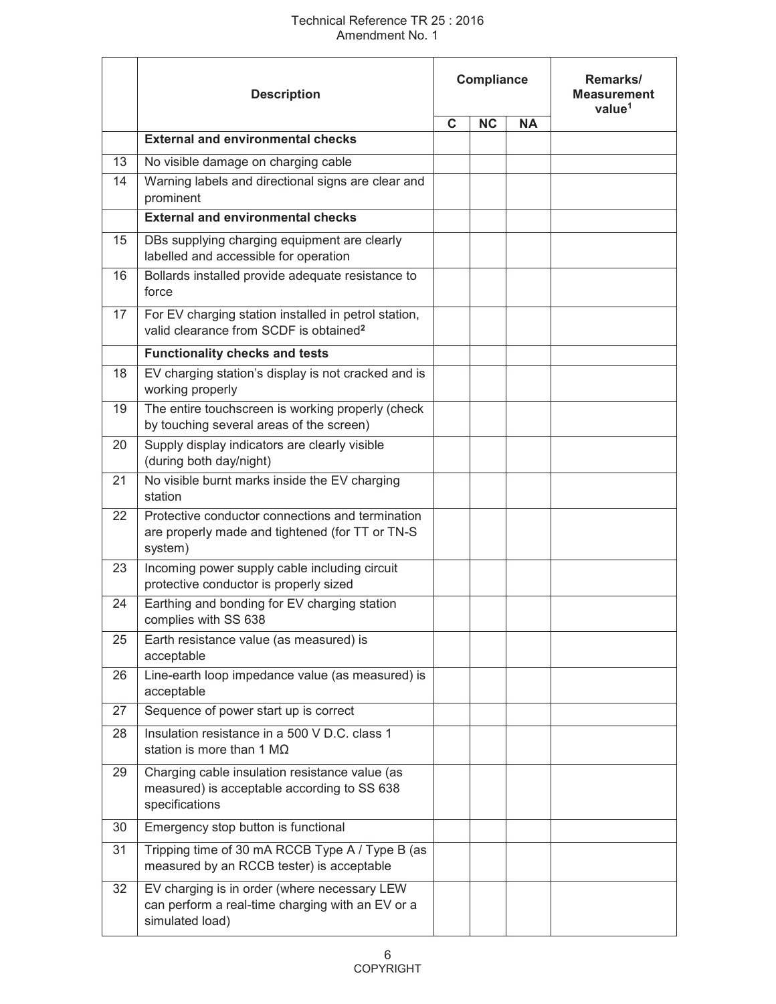## Technical Reference TR 25 : 2016 Amendment No. 1

|    | <b>Description</b>                                                                                                  |             | Compliance |           | Remarks/<br><b>Measurement</b><br>value <sup>1</sup> |
|----|---------------------------------------------------------------------------------------------------------------------|-------------|------------|-----------|------------------------------------------------------|
|    |                                                                                                                     | $\mathbf C$ | <b>NC</b>  | <b>NA</b> |                                                      |
|    | <b>External and environmental checks</b>                                                                            |             |            |           |                                                      |
| 13 | No visible damage on charging cable                                                                                 |             |            |           |                                                      |
| 14 | Warning labels and directional signs are clear and<br>prominent                                                     |             |            |           |                                                      |
|    | <b>External and environmental checks</b>                                                                            |             |            |           |                                                      |
| 15 | DBs supplying charging equipment are clearly<br>labelled and accessible for operation                               |             |            |           |                                                      |
| 16 | Bollards installed provide adequate resistance to<br>force                                                          |             |            |           |                                                      |
| 17 | For EV charging station installed in petrol station,<br>valid clearance from SCDF is obtained <sup>2</sup>          |             |            |           |                                                      |
|    | <b>Functionality checks and tests</b>                                                                               |             |            |           |                                                      |
| 18 | EV charging station's display is not cracked and is<br>working properly                                             |             |            |           |                                                      |
| 19 | The entire touchscreen is working properly (check<br>by touching several areas of the screen)                       |             |            |           |                                                      |
| 20 | Supply display indicators are clearly visible<br>(during both day/night)                                            |             |            |           |                                                      |
| 21 | No visible burnt marks inside the EV charging<br>station                                                            |             |            |           |                                                      |
| 22 | Protective conductor connections and termination<br>are properly made and tightened (for TT or TN-S<br>system)      |             |            |           |                                                      |
| 23 | Incoming power supply cable including circuit<br>protective conductor is properly sized                             |             |            |           |                                                      |
| 24 | Earthing and bonding for EV charging station<br>complies with SS 638                                                |             |            |           |                                                      |
| 25 | Earth resistance value (as measured) is<br>acceptable                                                               |             |            |           |                                                      |
| 26 | Line-earth loop impedance value (as measured) is<br>acceptable                                                      |             |            |           |                                                      |
| 27 | Sequence of power start up is correct                                                                               |             |            |           |                                                      |
| 28 | Insulation resistance in a 500 V D.C. class 1<br>station is more than 1 $M\Omega$                                   |             |            |           |                                                      |
| 29 | Charging cable insulation resistance value (as<br>measured) is acceptable according to SS 638<br>specifications     |             |            |           |                                                      |
| 30 | Emergency stop button is functional                                                                                 |             |            |           |                                                      |
| 31 | Tripping time of 30 mA RCCB Type A / Type B (as<br>measured by an RCCB tester) is acceptable                        |             |            |           |                                                      |
| 32 | EV charging is in order (where necessary LEW<br>can perform a real-time charging with an EV or a<br>simulated load) |             |            |           |                                                      |